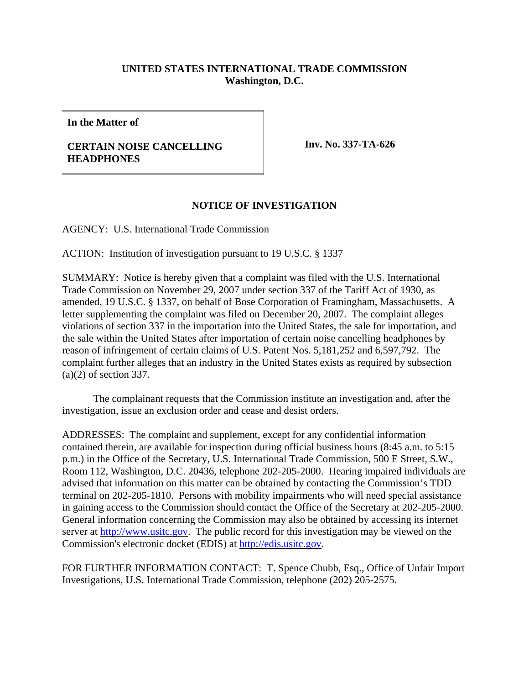## **UNITED STATES INTERNATIONAL TRADE COMMISSION Washington, D.C.**

**In the Matter of**

## **CERTAIN NOISE CANCELLING HEADPHONES**

**Inv. No. 337-TA-626**

## **NOTICE OF INVESTIGATION**

AGENCY: U.S. International Trade Commission

ACTION: Institution of investigation pursuant to 19 U.S.C. § 1337

SUMMARY: Notice is hereby given that a complaint was filed with the U.S. International Trade Commission on November 29, 2007 under section 337 of the Tariff Act of 1930, as amended, 19 U.S.C. § 1337, on behalf of Bose Corporation of Framingham, Massachusetts. A letter supplementing the complaint was filed on December 20, 2007. The complaint alleges violations of section 337 in the importation into the United States, the sale for importation, and the sale within the United States after importation of certain noise cancelling headphones by reason of infringement of certain claims of U.S. Patent Nos. 5,181,252 and 6,597,792. The complaint further alleges that an industry in the United States exists as required by subsection (a)(2) of section 337.

The complainant requests that the Commission institute an investigation and, after the investigation, issue an exclusion order and cease and desist orders.

ADDRESSES: The complaint and supplement, except for any confidential information contained therein, are available for inspection during official business hours (8:45 a.m. to 5:15 p.m.) in the Office of the Secretary, U.S. International Trade Commission, 500 E Street, S.W., Room 112, Washington, D.C. 20436, telephone 202-205-2000. Hearing impaired individuals are advised that information on this matter can be obtained by contacting the Commission's TDD terminal on 202-205-1810. Persons with mobility impairments who will need special assistance in gaining access to the Commission should contact the Office of the Secretary at 202-205-2000. General information concerning the Commission may also be obtained by accessing its internet server at http://www.usitc.gov. The public record for this investigation may be viewed on the Commission's electronic docket (EDIS) at http://edis.usitc.gov.

FOR FURTHER INFORMATION CONTACT: T. Spence Chubb, Esq., Office of Unfair Import Investigations, U.S. International Trade Commission, telephone (202) 205-2575.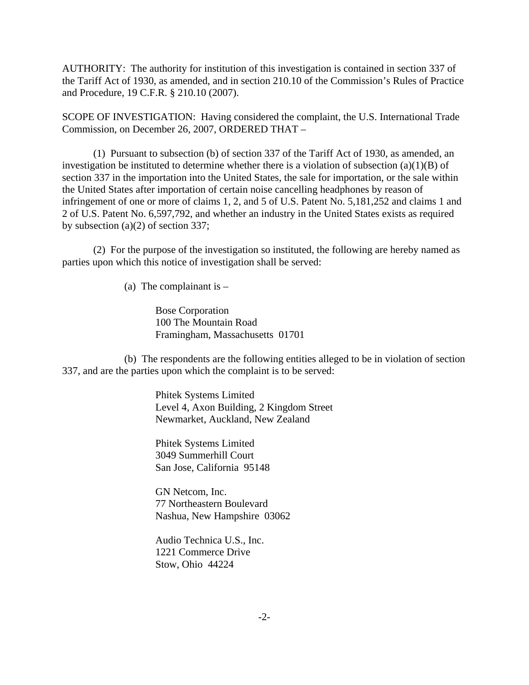AUTHORITY: The authority for institution of this investigation is contained in section 337 of the Tariff Act of 1930, as amended, and in section 210.10 of the Commission's Rules of Practice and Procedure, 19 C.F.R. § 210.10 (2007).

SCOPE OF INVESTIGATION: Having considered the complaint, the U.S. International Trade Commission, on December 26, 2007, ORDERED THAT –

(1) Pursuant to subsection (b) of section 337 of the Tariff Act of 1930, as amended, an investigation be instituted to determine whether there is a violation of subsection  $(a)(1)(B)$  of section 337 in the importation into the United States, the sale for importation, or the sale within the United States after importation of certain noise cancelling headphones by reason of infringement of one or more of claims 1, 2, and 5 of U.S. Patent No. 5,181,252 and claims 1 and 2 of U.S. Patent No. 6,597,792, and whether an industry in the United States exists as required by subsection (a)(2) of section 337;

(2) For the purpose of the investigation so instituted, the following are hereby named as parties upon which this notice of investigation shall be served:

(a) The complainant is  $-$ 

Bose Corporation 100 The Mountain Road Framingham, Massachusetts 01701

(b) The respondents are the following entities alleged to be in violation of section 337, and are the parties upon which the complaint is to be served:

> Phitek Systems Limited Level 4, Axon Building, 2 Kingdom Street Newmarket, Auckland, New Zealand

Phitek Systems Limited 3049 Summerhill Court San Jose, California 95148

GN Netcom, Inc. 77 Northeastern Boulevard Nashua, New Hampshire 03062

Audio Technica U.S., Inc. 1221 Commerce Drive Stow, Ohio 44224